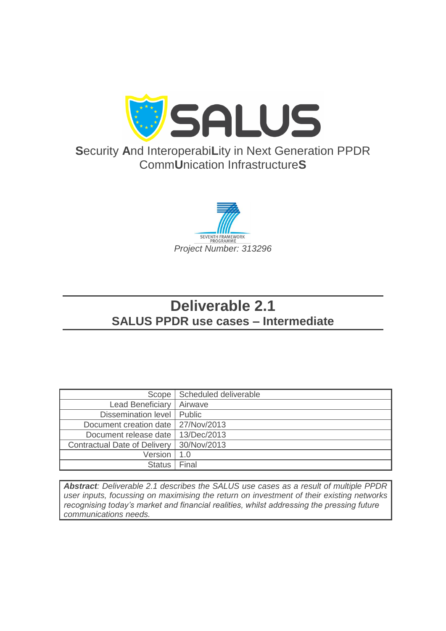

# **S**ecurity **A**nd Interoperabi**L**ity in Next Generation PPDR Comm**U**nication Infrastructure**S**



# **Deliverable 2.1 SALUS PPDR use cases – Intermediate**

| Scope                               | Scheduled deliverable |
|-------------------------------------|-----------------------|
| <b>Lead Beneficiary</b>             | Airwave               |
| Dissemination level   Public        |                       |
| Document creation date              | 27/Nov/2013           |
| Document release date               | 13/Dec/2013           |
| <b>Contractual Date of Delivery</b> | 30/Nov/2013           |
| Version                             | 1.0                   |
| <b>Status</b>                       | Final                 |

*Abstract: Deliverable 2.1 describes the SALUS use cases as a result of multiple PPDR user inputs, focussing on maximising the return on investment of their existing networks recognising today's market and financial realities, whilst addressing the pressing future communications needs.*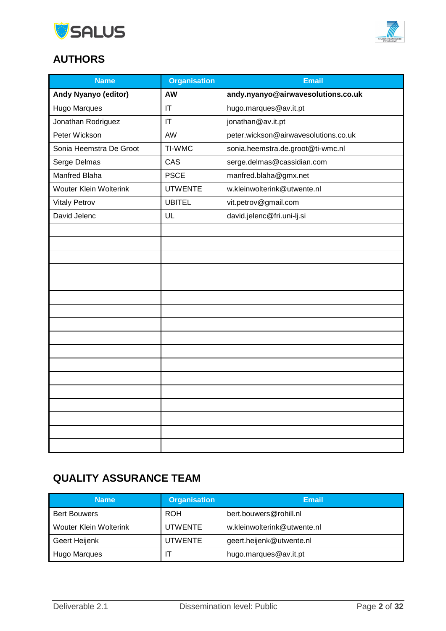



# **AUTHORS**

| <b>Name</b>                 | <b>Organisation</b>    | <b>Email</b>                         |  |
|-----------------------------|------------------------|--------------------------------------|--|
| <b>Andy Nyanyo (editor)</b> | <b>AW</b>              | andy.nyanyo@airwavesolutions.co.uk   |  |
| <b>Hugo Marques</b>         | $\mathsf{I}\mathsf{T}$ | hugo.marques@av.it.pt                |  |
| Jonathan Rodriguez          | $\mathsf{I}\mathsf{T}$ | jonathan@av.it.pt                    |  |
| Peter Wickson               | AW                     | peter.wickson@airwavesolutions.co.uk |  |
| Sonia Heemstra De Groot     | TI-WMC                 | sonia.heemstra.de.groot@ti-wmc.nl    |  |
| Serge Delmas                | CAS                    | serge.delmas@cassidian.com           |  |
| Manfred Blaha               | <b>PSCE</b>            | manfred.blaha@gmx.net                |  |
| Wouter Klein Wolterink      | <b>UTWENTE</b>         | w.kleinwolterink@utwente.nl          |  |
| <b>Vitaly Petrov</b>        | <b>UBITEL</b>          | vit.petrov@gmail.com                 |  |
| David Jelenc                | UL                     | david.jelenc@fri.uni-lj.si           |  |
|                             |                        |                                      |  |
|                             |                        |                                      |  |
|                             |                        |                                      |  |
|                             |                        |                                      |  |
|                             |                        |                                      |  |
|                             |                        |                                      |  |
|                             |                        |                                      |  |
|                             |                        |                                      |  |
|                             |                        |                                      |  |
|                             |                        |                                      |  |
|                             |                        |                                      |  |
|                             |                        |                                      |  |
|                             |                        |                                      |  |
|                             |                        |                                      |  |
|                             |                        |                                      |  |
|                             |                        |                                      |  |
|                             |                        |                                      |  |

# **QUALITY ASSURANCE TEAM**

| <b>Name</b>                   | <b>Organisation</b> | Email                       |
|-------------------------------|---------------------|-----------------------------|
| <b>Bert Bouwers</b>           | <b>ROH</b>          | bert.bouwers@rohill.nl      |
| <b>Wouter Klein Wolterink</b> | <b>UTWENTE</b>      | w.kleinwolterink@utwente.nl |
| Geert Heijenk                 | <b>UTWENTE</b>      | geert.heijenk@utwente.nl    |
| Hugo Marques                  |                     | hugo.marques@av.it.pt       |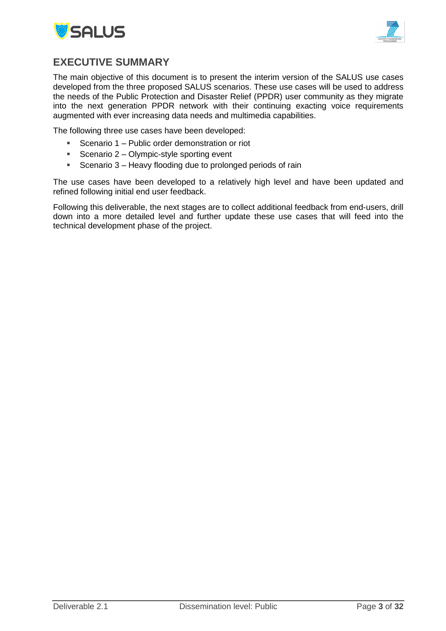



### <span id="page-2-0"></span>**EXECUTIVE SUMMARY**

The main objective of this document is to present the interim version of the SALUS use cases developed from the three proposed SALUS scenarios. These use cases will be used to address the needs of the Public Protection and Disaster Relief (PPDR) user community as they migrate into the next generation PPDR network with their continuing exacting voice requirements augmented with ever increasing data needs and multimedia capabilities.

The following three use cases have been developed:

- **Scenario 1 Public order demonstration or riot**
- Scenario  $2 -$  Olympic-style sporting event
- **Scenario 3 Heavy flooding due to prolonged periods of rain**

The use cases have been developed to a relatively high level and have been updated and refined following initial end user feedback.

Following this deliverable, the next stages are to collect additional feedback from end-users, drill down into a more detailed level and further update these use cases that will feed into the technical development phase of the project.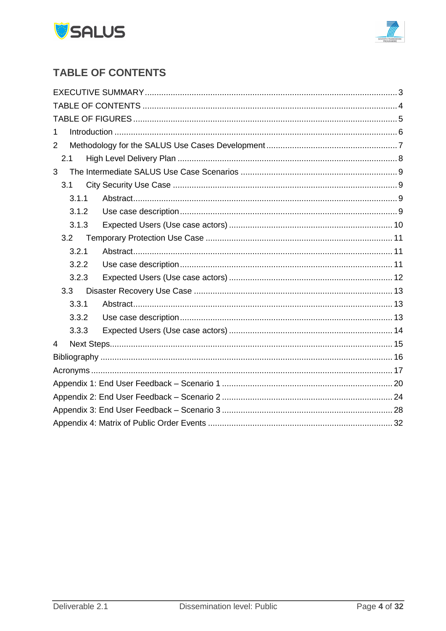



# <span id="page-3-0"></span>**TABLE OF CONTENTS**

| 1              |  |
|----------------|--|
| $\overline{2}$ |  |
| 2.1            |  |
| 3              |  |
| 3.1            |  |
| 3.1.1          |  |
| 3.1.2          |  |
| 3.1.3          |  |
| 3.2            |  |
| 3.2.1          |  |
| 3.2.2          |  |
| 3.2.3          |  |
| 3.3            |  |
| 3.3.1          |  |
| 3.3.2          |  |
| 3.3.3          |  |
| $\overline{4}$ |  |
|                |  |
|                |  |
|                |  |
|                |  |
|                |  |
|                |  |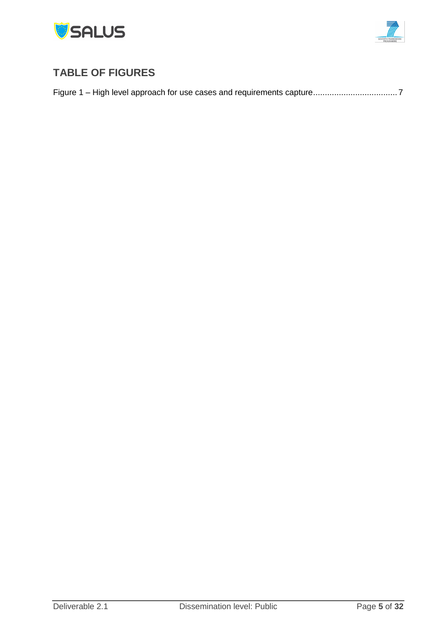



# <span id="page-4-0"></span>**TABLE OF FIGURES**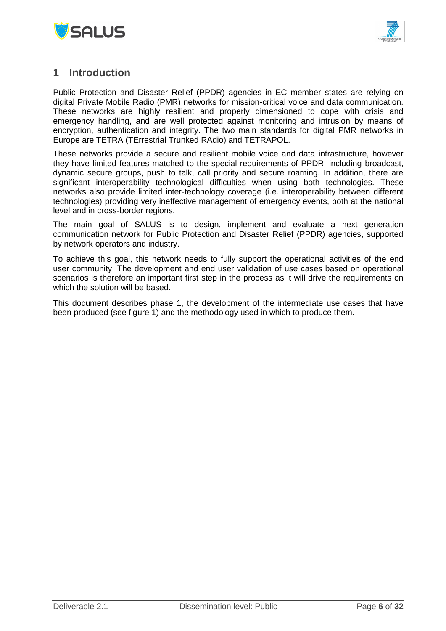



### <span id="page-5-0"></span>**1 Introduction**

Public Protection and Disaster Relief (PPDR) agencies in EC member states are relying on digital Private Mobile Radio (PMR) networks for mission-critical voice and data communication. These networks are highly resilient and properly dimensioned to cope with crisis and emergency handling, and are well protected against monitoring and intrusion by means of encryption, authentication and integrity. The two main standards for digital PMR networks in Europe are TETRA (TErrestrial Trunked RAdio) and TETRAPOL.

These networks provide a secure and resilient mobile voice and data infrastructure, however they have limited features matched to the special requirements of PPDR, including broadcast, dynamic secure groups, push to talk, call priority and secure roaming. In addition, there are significant interoperability technological difficulties when using both technologies. These networks also provide limited inter-technology coverage (i.e. interoperability between different technologies) providing very ineffective management of emergency events, both at the national level and in cross-border regions.

The main goal of SALUS is to design, implement and evaluate a next generation communication network for Public Protection and Disaster Relief (PPDR) agencies, supported by network operators and industry.

To achieve this goal, this network needs to fully support the operational activities of the end user community. The development and end user validation of use cases based on operational scenarios is therefore an important first step in the process as it will drive the requirements on which the solution will be based.

This document describes phase 1, the development of the intermediate use cases that have been produced (see figure 1) and the methodology used in which to produce them.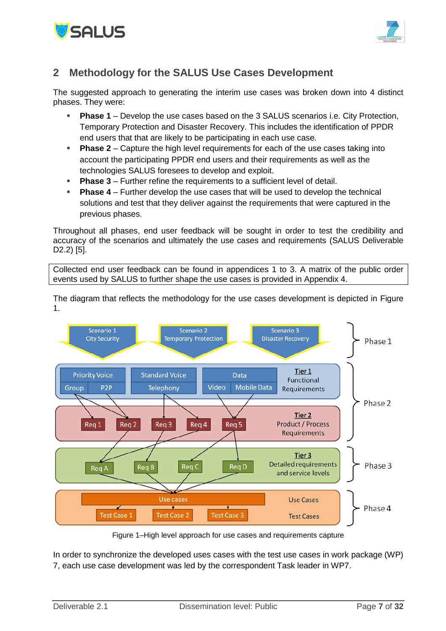



# <span id="page-6-0"></span>**2 Methodology for the SALUS Use Cases Development**

The suggested approach to generating the interim use cases was broken down into 4 distinct phases. They were:

- **Phase 1** Develop the use cases based on the 3 SALUS scenarios i.e. City Protection, Temporary Protection and Disaster Recovery. This includes the identification of PPDR end users that that are likely to be participating in each use case.
- **Phase 2** Capture the high level requirements for each of the use cases taking into account the participating PPDR end users and their requirements as well as the technologies SALUS foresees to develop and exploit.
- **Phase 3** Further refine the requirements to a sufficient level of detail.
- **Phase 4** Further develop the use cases that will be used to develop the technical solutions and test that they deliver against the requirements that were captured in the previous phases.

Throughout all phases, end user feedback will be sought in order to test the credibility and accuracy of the scenarios and ultimately the use cases and requirements (SALUS Deliverable D2.2) [\[5\].](#page-15-1)

Collected end user feedback can be found in appendices 1 to 3. A matrix of the public order events used by SALUS to further shape the use cases is provided in Appendix 4.

The diagram that reflects the methodology for the use cases development is depicted in [Figure](#page-6-1)  [1.](#page-6-1)



Figure 1–High level approach for use cases and requirements capture

<span id="page-6-1"></span>In order to synchronize the developed uses cases with the test use cases in work package (WP) 7, each use case development was led by the correspondent Task leader in WP7.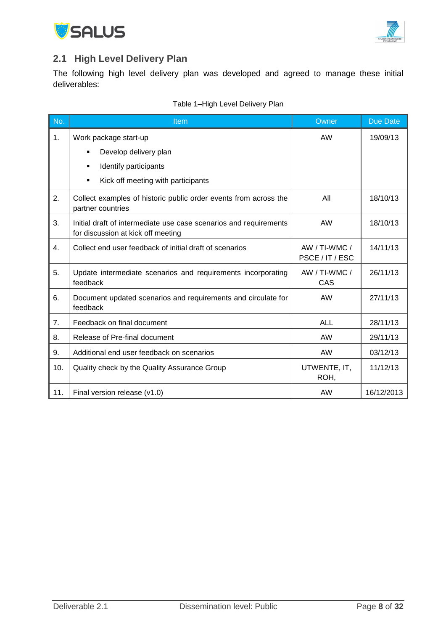



### <span id="page-7-0"></span>**2.1 High Level Delivery Plan**

The following high level delivery plan was developed and agreed to manage these initial deliverables:

| No.            | Item                                                                                                    | Owner                            | <b>Due Date</b> |
|----------------|---------------------------------------------------------------------------------------------------------|----------------------------------|-----------------|
| 1.             | Work package start-up                                                                                   | AW                               | 19/09/13        |
|                | Develop delivery plan<br>٠                                                                              |                                  |                 |
|                | Identify participants<br>٠                                                                              |                                  |                 |
|                | Kick off meeting with participants<br>٠                                                                 |                                  |                 |
| 2.             | Collect examples of historic public order events from across the<br>partner countries                   | All                              | 18/10/13        |
| 3.             | Initial draft of intermediate use case scenarios and requirements<br>for discussion at kick off meeting | <b>AW</b>                        | 18/10/13        |
| 4.             | Collect end user feedback of initial draft of scenarios                                                 | AW / TI-WMC /<br>PSCE / IT / ESC | 14/11/13        |
| 5.             | Update intermediate scenarios and requirements incorporating<br>feedback                                | AW / TI-WMC /<br>CAS             | 26/11/13        |
| 6.             | Document updated scenarios and requirements and circulate for<br>feedback                               | <b>AW</b>                        | 27/11/13        |
| 7 <sub>1</sub> | Feedback on final document                                                                              | <b>ALL</b>                       | 28/11/13        |
| 8.             | Release of Pre-final document                                                                           | AW                               | 29/11/13        |
| 9.             | Additional end user feedback on scenarios                                                               | <b>AW</b>                        | 03/12/13        |
| 10.            | Quality check by the Quality Assurance Group                                                            | UTWENTE, IT,<br>ROH,             | 11/12/13        |
| 11.            | Final version release (v1.0)                                                                            | <b>AW</b>                        | 16/12/2013      |

### Table 1–High Level Delivery Plan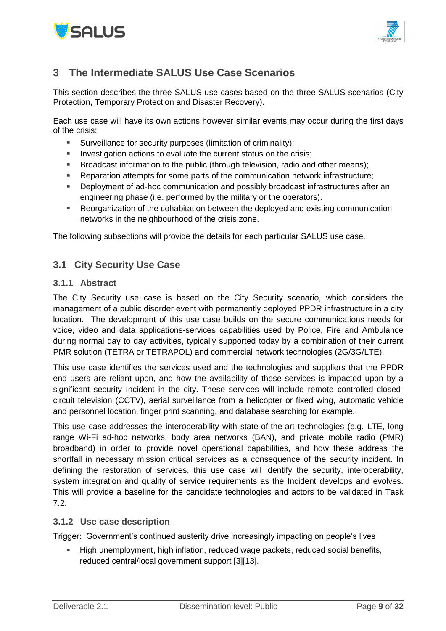



# <span id="page-8-0"></span>**3 The Intermediate SALUS Use Case Scenarios**

This section describes the three SALUS use cases based on the three SALUS scenarios (City Protection, Temporary Protection and Disaster Recovery).

Each use case will have its own actions however similar events may occur during the first days of the crisis:

- Surveillance for security purposes (limitation of criminality);
- Investigation actions to evaluate the current status on the crisis:
- **Broadcast information to the public (through television, radio and other means);**
- Reparation attempts for some parts of the communication network infrastructure;
- Deployment of ad-hoc communication and possibly broadcast infrastructures after an engineering phase (i.e. performed by the military or the operators).
- Reorganization of the cohabitation between the deployed and existing communication networks in the neighbourhood of the crisis zone.

The following subsections will provide the details for each particular SALUS use case.

### <span id="page-8-1"></span>**3.1 City Security Use Case**

### <span id="page-8-2"></span>**3.1.1 Abstract**

The City Security use case is based on the City Security scenario, which considers the management of a public disorder event with permanently deployed PPDR infrastructure in a city location. The development of this use case builds on the secure communications needs for voice, video and data applications-services capabilities used by Police, Fire and Ambulance during normal day to day activities, typically supported today by a combination of their current PMR solution (TETRA or TETRAPOL) and commercial network technologies (2G/3G/LTE).

This use case identifies the services used and the technologies and suppliers that the PPDR end users are reliant upon, and how the availability of these services is impacted upon by a significant security Incident in the city. These services will include remote controlled closedcircuit television (CCTV), aerial surveillance from a helicopter or fixed wing, automatic vehicle and personnel location, finger print scanning, and database searching for example.

This use case addresses the interoperability with state-of-the-art technologies (e.g. LTE, long range Wi-Fi ad-hoc networks, body area networks (BAN), and private mobile radio (PMR) broadband) in order to provide novel operational capabilities, and how these address the shortfall in necessary mission critical services as a consequence of the security incident. In defining the restoration of services, this use case will identify the security, interoperability, system integration and quality of service requirements as the Incident develops and evolves. This will provide a baseline for the candidate technologies and actors to be validated in Task 7.2.

### <span id="page-8-3"></span>**3.1.2 Use case description**

Trigger: Government's continued austerity drive increasingly impacting on people's lives

High unemployment, high inflation, reduced wage packets, reduced social benefits, reduced central/local government support [\[3\]\[13\].](#page-15-2)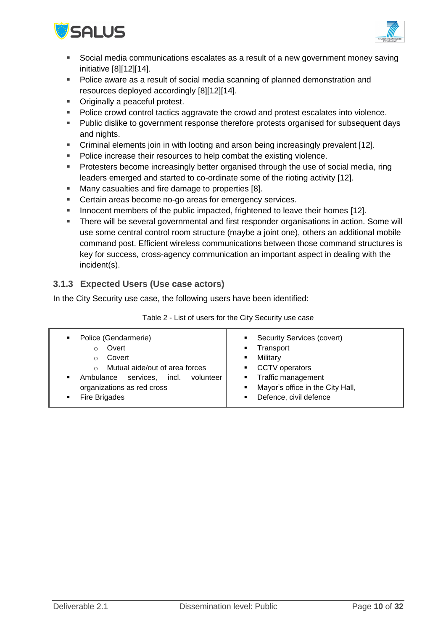



- Social media communications escalates as a result of a new government money saving initiative [\[8\]\[12\]](#page-15-3)[\[14\].](#page-15-4)
- Police aware as a result of social media scanning of planned demonstration and resources deployed accordingly [\[8\]\[12\]](#page-15-3)[\[14\].](#page-15-4)
- **•** Originally a peaceful protest.
- Police crowd control tactics aggravate the crowd and protest escalates into violence.
- Public dislike to government response therefore protests organised for subsequent days and nights.
- Criminal elements join in with looting and arson being increasingly prevalent [\[12\].](#page-15-5)
- Police increase their resources to help combat the existing violence.
- **Protesters become increasingly better organised through the use of social media, ring** leaders emerged and started to co-ordinate some of the rioting activity [\[12\].](#page-15-5)
- **Many casualties and fire damage to properties [\[8\].](#page-15-3)**
- Certain areas become no-go areas for emergency services.
- Innocent members of the public impacted, frightened to leave their homes [\[12\].](#page-15-5)
- There will be several governmental and first responder organisations in action. Some will use some central control room structure (maybe a joint one), others an additional mobile command post. Efficient wireless communications between those command structures is key for success, cross-agency communication an important aspect in dealing with the incident(s).

### <span id="page-9-0"></span>**3.1.3 Expected Users (Use case actors)**

In the City Security use case, the following users have been identified:

| Police (Gendarmerie)<br>٠<br>Overt<br>٠<br>Covert<br>٠<br>Mutual aide/out of area forces<br>٠.<br>$\bigcirc$<br>incl.<br>services,<br>volunteer<br>Ambulance<br>н.<br>organizations as red cross<br>٠<br>Fire Brigades<br>٠ | <b>Security Services (covert)</b><br>Transport<br>Military<br><b>CCTV</b> operators<br>Traffic management<br>Mayor's office in the City Hall,<br>Defence, civil defence |
|-----------------------------------------------------------------------------------------------------------------------------------------------------------------------------------------------------------------------------|-------------------------------------------------------------------------------------------------------------------------------------------------------------------------|
|-----------------------------------------------------------------------------------------------------------------------------------------------------------------------------------------------------------------------------|-------------------------------------------------------------------------------------------------------------------------------------------------------------------------|

Table 2 - List of users for the City Security use case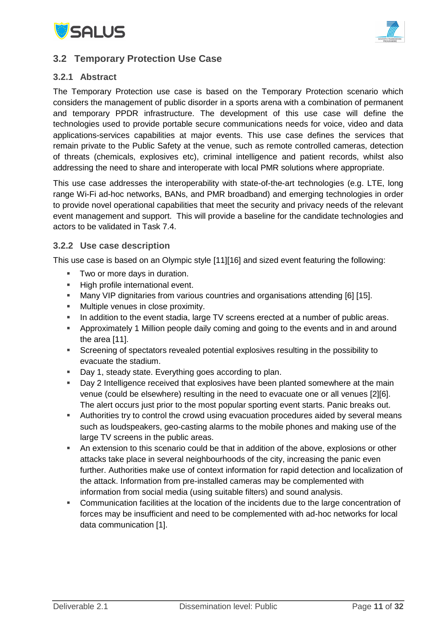



### <span id="page-10-0"></span>**3.2 Temporary Protection Use Case**

### <span id="page-10-1"></span>**3.2.1 Abstract**

The Temporary Protection use case is based on the Temporary Protection scenario which considers the management of public disorder in a sports arena with a combination of permanent and temporary PPDR infrastructure. The development of this use case will define the technologies used to provide portable secure communications needs for voice, video and data applications-services capabilities at major events. This use case defines the services that remain private to the Public Safety at the venue, such as remote controlled cameras, detection of threats (chemicals, explosives etc), criminal intelligence and patient records, whilst also addressing the need to share and interoperate with local PMR solutions where appropriate.

This use case addresses the interoperability with state-of-the-art technologies (e.g. LTE, long range Wi-Fi ad-hoc networks, BANs, and PMR broadband) and emerging technologies in order to provide novel operational capabilities that meet the security and privacy needs of the relevant event management and support. This will provide a baseline for the candidate technologies and actors to be validated in Task 7.4.

#### <span id="page-10-2"></span>**3.2.2 Use case description**

This use case is based on an Olympic style [\[11\]\[16\]](#page-15-6) and sized event featuring the following:

- **Two or more days in duration.**
- **High profile international event.**
- Many VIP dignitaries from various countries and organisations attending [\[6\]](#page-15-7) [\[15\].](#page-15-8)
- **Multiple venues in close proximity.**
- In addition to the event stadia, large TV screens erected at a number of public areas.
- Approximately 1 Million people daily coming and going to the events and in and around the area [\[11\].](#page-15-6)
- Screening of spectators revealed potential explosives resulting in the possibility to evacuate the stadium.
- Day 1, steady state. Everything goes according to plan.
- **Day 2 Intelligence received that explosives have been planted somewhere at the main** venue (could be elsewhere) resulting in the need to evacuate one or all venues [\[2\]\[6\].](#page-15-9) The alert occurs just prior to the most popular sporting event starts. Panic breaks out.
- Authorities try to control the crowd using evacuation procedures aided by several means such as loudspeakers, geo-casting alarms to the mobile phones and making use of the large TV screens in the public areas.
- An extension to this scenario could be that in addition of the above, explosions or other attacks take place in several neighbourhoods of the city, increasing the panic even further. Authorities make use of context information for rapid detection and localization of the attack. Information from pre-installed cameras may be complemented with information from social media (using suitable filters) and sound analysis.
- Communication facilities at the location of the incidents due to the large concentration of forces may be insufficient and need to be complemented with ad-hoc networks for local data communication [\[1\].](#page-15-10)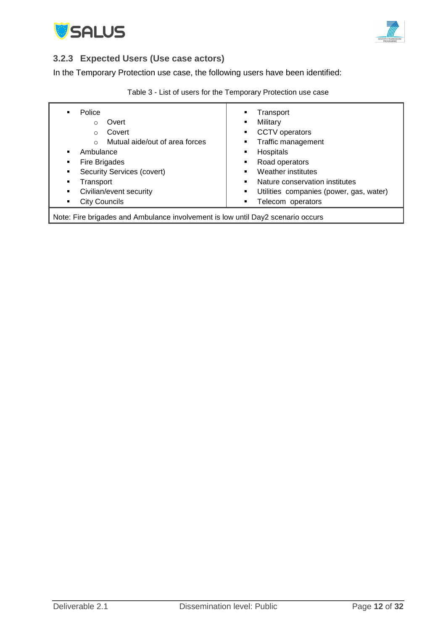



### <span id="page-11-0"></span>**3.2.3 Expected Users (Use case actors)**

In the Temporary Protection use case, the following users have been identified:

| Police                                                                          | Transport                               |  |
|---------------------------------------------------------------------------------|-----------------------------------------|--|
| ٠                                                                               | ٠                                       |  |
| Overt                                                                           | Military                                |  |
| $\circ$                                                                         | ٠                                       |  |
| Covert                                                                          | CCTV operators                          |  |
| $\Omega$                                                                        | ٠                                       |  |
| Mutual aide/out of area forces                                                  | Traffic management                      |  |
| $\cap$                                                                          | ٠                                       |  |
| Ambulance                                                                       | Hospitals                               |  |
| $\blacksquare$                                                                  | ٠                                       |  |
| Fire Brigades                                                                   | Road operators                          |  |
| ٠                                                                               | ٠                                       |  |
| Security Services (covert)                                                      | Weather institutes                      |  |
| ٠                                                                               | ٠                                       |  |
| Transport                                                                       | Nature conservation institutes          |  |
| ٠                                                                               | ٠                                       |  |
| Civilian/event security                                                         | Utilities companies (power, gas, water) |  |
| ٠                                                                               | ٠                                       |  |
| <b>City Councils</b>                                                            | Telecom operators                       |  |
| ٠                                                                               | ٠                                       |  |
| Note: Fire brigades and Ambulance involvement is low until Day2 scenario occurs |                                         |  |

|  | Table 3 - List of users for the Temporary Protection use case |
|--|---------------------------------------------------------------|
|--|---------------------------------------------------------------|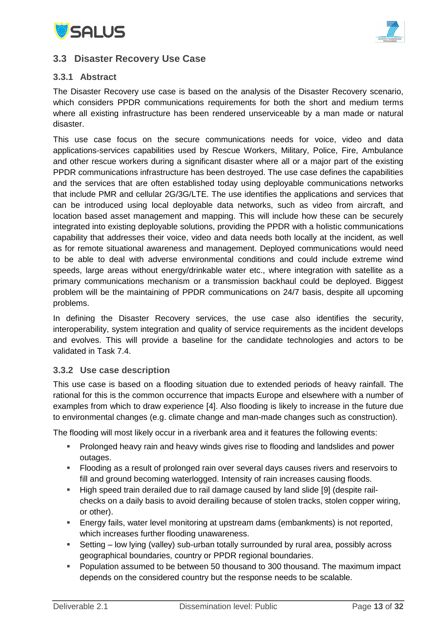



### <span id="page-12-0"></span>**3.3 Disaster Recovery Use Case**

### <span id="page-12-1"></span>**3.3.1 Abstract**

The Disaster Recovery use case is based on the analysis of the Disaster Recovery scenario, which considers PPDR communications requirements for both the short and medium terms where all existing infrastructure has been rendered unserviceable by a man made or natural disaster.

This use case focus on the secure communications needs for voice, video and data applications-services capabilities used by Rescue Workers, Military, Police, Fire, Ambulance and other rescue workers during a significant disaster where all or a major part of the existing PPDR communications infrastructure has been destroyed. The use case defines the capabilities and the services that are often established today using deployable communications networks that include PMR and cellular 2G/3G/LTE. The use identifies the applications and services that can be introduced using local deployable data networks, such as video from aircraft, and location based asset management and mapping. This will include how these can be securely integrated into existing deployable solutions, providing the PPDR with a holistic communications capability that addresses their voice, video and data needs both locally at the incident, as well as for remote situational awareness and management. Deployed communications would need to be able to deal with adverse environmental conditions and could include extreme wind speeds, large areas without energy/drinkable water etc., where integration with satellite as a primary communications mechanism or a transmission backhaul could be deployed. Biggest problem will be the maintaining of PPDR communications on 24/7 basis, despite all upcoming problems.

In defining the Disaster Recovery services, the use case also identifies the security, interoperability, system integration and quality of service requirements as the incident develops and evolves. This will provide a baseline for the candidate technologies and actors to be validated in Task 7.4.

### <span id="page-12-2"></span>**3.3.2 Use case description**

This use case is based on a flooding situation due to extended periods of heavy rainfall. The rational for this is the common occurrence that impacts Europe and elsewhere with a number of examples from which to draw experience [\[4\].](#page-15-11) Also flooding is likely to increase in the future due to environmental changes (e.g. climate change and man-made changes such as construction).

The flooding will most likely occur in a riverbank area and it features the following events:

- **Prolonged heavy rain and heavy winds gives rise to flooding and landslides and power** outages.
- Flooding as a result of prolonged rain over several days causes rivers and reservoirs to fill and ground becoming waterlogged. Intensity of rain increases causing floods.
- High speed train derailed due to rail damage caused by land slide [\[9\]](#page-15-12) (despite railchecks on a daily basis to avoid derailing because of stolen tracks, stolen copper wiring, or other).
- Energy fails, water level monitoring at upstream dams (embankments) is not reported, which increases further flooding unawareness.
- Setting low lying (valley) sub-urban totally surrounded by rural area, possibly across geographical boundaries, country or PPDR regional boundaries.
- **Population assumed to be between 50 thousand to 300 thousand. The maximum impact** depends on the considered country but the response needs to be scalable.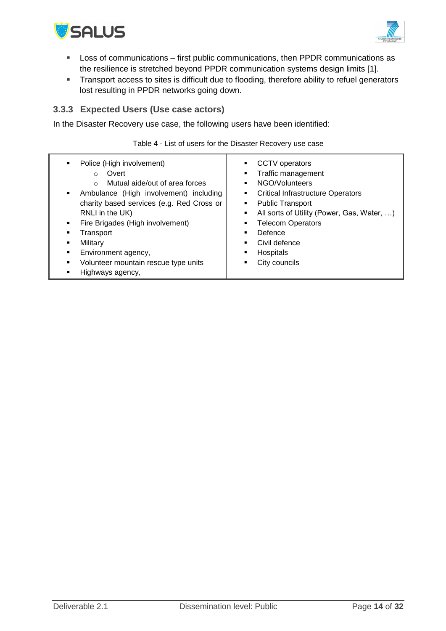



- Loss of communications first public communications, then PPDR communications as the resilience is stretched beyond PPDR communication systems design limits [\[1\].](#page-15-10)
- **Transport access to sites is difficult due to flooding, therefore ability to refuel generators** lost resulting in PPDR networks going down.

### <span id="page-13-0"></span>**3.3.3 Expected Users (Use case actors)**

In the Disaster Recovery use case, the following users have been identified:

Table 4 - List of users for the Disaster Recovery use case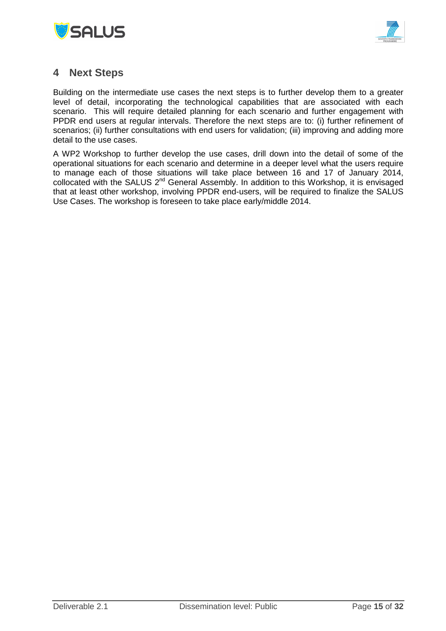



### <span id="page-14-0"></span>**4 Next Steps**

Building on the intermediate use cases the next steps is to further develop them to a greater level of detail, incorporating the technological capabilities that are associated with each scenario. This will require detailed planning for each scenario and further engagement with PPDR end users at regular intervals. Therefore the next steps are to: (i) further refinement of scenarios; (ii) further consultations with end users for validation; (iii) improving and adding more detail to the use cases.

A WP2 Workshop to further develop the use cases, drill down into the detail of some of the operational situations for each scenario and determine in a deeper level what the users require to manage each of those situations will take place between 16 and 17 of January 2014, collocated with the SALUS 2<sup>nd</sup> General Assembly. In addition to this Workshop, it is envisaged that at least other workshop, involving PPDR end-users, will be required to finalize the SALUS Use Cases. The workshop is foreseen to take place early/middle 2014.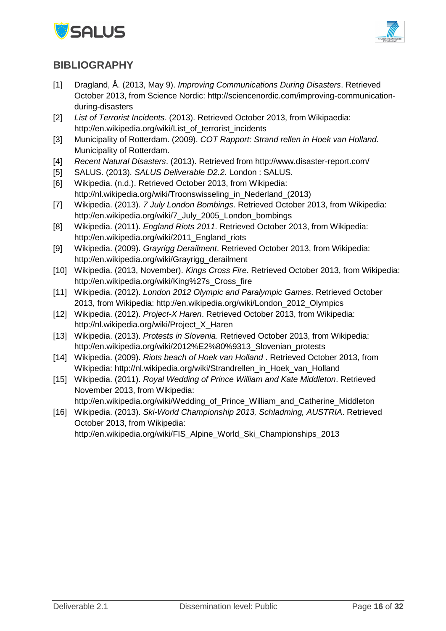



### <span id="page-15-0"></span>**BIBLIOGRAPHY**

- <span id="page-15-10"></span>[1] Dragland, Å. (2013, May 9). *Improving Communications During Disasters*. Retrieved October 2013, from Science Nordic: http://sciencenordic.com/improving-communicationduring-disasters
- <span id="page-15-9"></span>[2] *List of Terrorist Incidents*. (2013). Retrieved October 2013, from Wikipaedia: http://en.wikipedia.org/wiki/List\_of\_terrorist\_incidents
- <span id="page-15-2"></span>[3] Municipality of Rotterdam. (2009). *COT Rapport: Strand rellen in Hoek van Holland.* Municipality of Rotterdam.
- <span id="page-15-11"></span>[4] *Recent Natural Disasters*. (2013). Retrieved from http://www.disaster-report.com/
- <span id="page-15-1"></span>[5] SALUS. (2013). *SALUS Deliverable D2.2.* London : SALUS.
- <span id="page-15-7"></span>[6] Wikipedia. (n.d.). Retrieved October 2013, from Wikipedia: http://nl.wikipedia.org/wiki/Troonswisseling in Nederland (2013)
- <span id="page-15-15"></span>[7] Wikipedia. (2013). *7 July London Bombings*. Retrieved October 2013, from Wikipedia: http://en.wikipedia.org/wiki/7\_July\_2005\_London\_bombings
- <span id="page-15-3"></span>[8] Wikipedia. (2011). *England Riots 2011*. Retrieved October 2013, from Wikipedia: http://en.wikipedia.org/wiki/2011 England riots
- <span id="page-15-12"></span>[9] Wikipedia. (2009). *Grayrigg Derailment*. Retrieved October 2013, from Wikipedia: http://en.wikipedia.org/wiki/Grayrigg\_derailment
- <span id="page-15-16"></span>[10] Wikipedia. (2013, November). *Kings Cross Fire*. Retrieved October 2013, from Wikipedia: http://en.wikipedia.org/wiki/King%27s\_Cross\_fire
- <span id="page-15-6"></span>[11] Wikipedia. (2012). *London 2012 Olympic and Paralympic Games*. Retrieved October 2013, from Wikipedia: http://en.wikipedia.org/wiki/London\_2012\_Olympics
- <span id="page-15-5"></span>[12] Wikipedia. (2012). *Project-X Haren*. Retrieved October 2013, from Wikipedia: http://nl.wikipedia.org/wiki/Project\_X\_Haren
- <span id="page-15-13"></span>[13] Wikipedia. (2013). *Protests in Slovenia*. Retrieved October 2013, from Wikipedia: http://en.wikipedia.org/wiki/2012%E2%80%9313\_Slovenian\_protests
- <span id="page-15-4"></span>[14] Wikipedia. (2009). *Riots beach of Hoek van Holland* . Retrieved October 2013, from Wikipedia: http://nl.wikipedia.org/wiki/Strandrellen\_in\_Hoek\_van\_Holland
- <span id="page-15-8"></span>[15] Wikipedia. (2011). *Royal Wedding of Prince William and Kate Middleton*. Retrieved November 2013, from Wikipedia:
	- http://en.wikipedia.org/wiki/Wedding\_of\_Prince\_William\_and\_Catherine\_Middleton
- <span id="page-15-14"></span>[16] Wikipedia. (2013). *Ski-World Championship 2013, Schladming, AUSTRIA*. Retrieved October 2013, from Wikipedia:

http://en.wikipedia.org/wiki/FIS\_Alpine\_World\_Ski\_Championships\_2013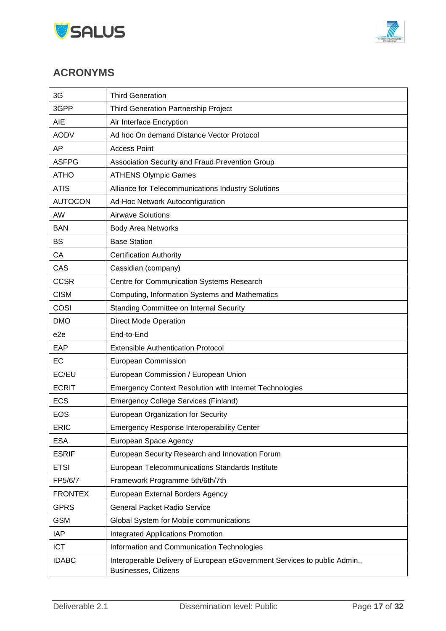



# <span id="page-16-0"></span>**ACRONYMS**

| 3G              | <b>Third Generation</b>                                                                                  |
|-----------------|----------------------------------------------------------------------------------------------------------|
| 3GPP            | Third Generation Partnership Project                                                                     |
| AIE             | Air Interface Encryption                                                                                 |
| <b>AODV</b>     | Ad hoc On demand Distance Vector Protocol                                                                |
| AP              | <b>Access Point</b>                                                                                      |
| <b>ASFPG</b>    | Association Security and Fraud Prevention Group                                                          |
| <b>ATHO</b>     | <b>ATHENS Olympic Games</b>                                                                              |
| <b>ATIS</b>     | Alliance for Telecommunications Industry Solutions                                                       |
| <b>AUTOCON</b>  | Ad-Hoc Network Autoconfiguration                                                                         |
| <b>AW</b>       | <b>Airwave Solutions</b>                                                                                 |
| <b>BAN</b>      | <b>Body Area Networks</b>                                                                                |
| <b>BS</b>       | <b>Base Station</b>                                                                                      |
| СA              | <b>Certification Authority</b>                                                                           |
| CAS             | Cassidian (company)                                                                                      |
| <b>CCSR</b>     | Centre for Communication Systems Research                                                                |
| <b>CISM</b>     | Computing, Information Systems and Mathematics                                                           |
| COSI            | <b>Standing Committee on Internal Security</b>                                                           |
| <b>DMO</b>      | <b>Direct Mode Operation</b>                                                                             |
| e <sub>2e</sub> | End-to-End                                                                                               |
| EAP             | <b>Extensible Authentication Protocol</b>                                                                |
| EC              | European Commission                                                                                      |
| EC/EU           | European Commission / European Union                                                                     |
| <b>ECRIT</b>    | <b>Emergency Context Resolution with Internet Technologies</b>                                           |
| <b>ECS</b>      | <b>Emergency College Services (Finland)</b>                                                              |
| <b>EOS</b>      | European Organization for Security                                                                       |
| <b>ERIC</b>     | <b>Emergency Response Interoperability Center</b>                                                        |
| <b>ESA</b>      | European Space Agency                                                                                    |
| <b>ESRIF</b>    | European Security Research and Innovation Forum                                                          |
| <b>ETSI</b>     | European Telecommunications Standards Institute                                                          |
| FP5/6/7         | Framework Programme 5th/6th/7th                                                                          |
| <b>FRONTEX</b>  | European External Borders Agency                                                                         |
| <b>GPRS</b>     | <b>General Packet Radio Service</b>                                                                      |
| <b>GSM</b>      | Global System for Mobile communications                                                                  |
| <b>IAP</b>      | <b>Integrated Applications Promotion</b>                                                                 |
| <b>ICT</b>      | Information and Communication Technologies                                                               |
| <b>IDABC</b>    | Interoperable Delivery of European eGovernment Services to public Admin.,<br><b>Businesses, Citizens</b> |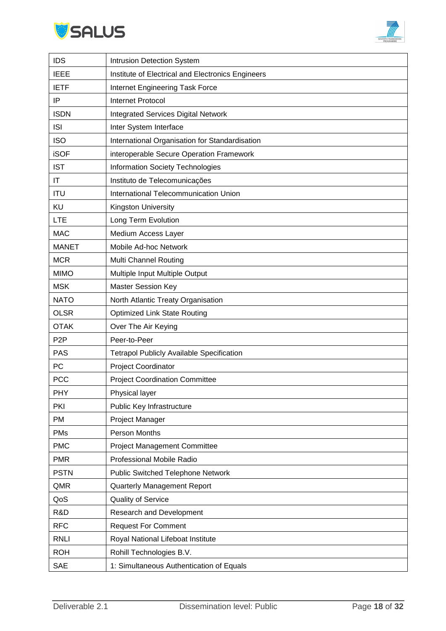



| <b>IDS</b><br><b>Intrusion Detection System</b>                  |  |
|------------------------------------------------------------------|--|
| <b>IEEE</b><br>Institute of Electrical and Electronics Engineers |  |
| <b>IETF</b><br>Internet Engineering Task Force                   |  |
| IP<br><b>Internet Protocol</b>                                   |  |
| <b>ISDN</b><br><b>Integrated Services Digital Network</b>        |  |
| <b>ISI</b><br>Inter System Interface                             |  |
| <b>ISO</b><br>International Organisation for Standardisation     |  |
| <b>iSOF</b><br>interoperable Secure Operation Framework          |  |
| <b>IST</b><br><b>Information Society Technologies</b>            |  |
| $\mathsf{I}\mathsf{T}$<br>Instituto de Telecomunicações          |  |
| International Telecommunication Union<br><b>ITU</b>              |  |
| KU<br>Kingston University                                        |  |
| <b>LTE</b><br>Long Term Evolution                                |  |
| <b>MAC</b><br>Medium Access Layer                                |  |
| Mobile Ad-hoc Network<br><b>MANET</b>                            |  |
| <b>MCR</b><br><b>Multi Channel Routing</b>                       |  |
| Multiple Input Multiple Output<br><b>MIMO</b>                    |  |
| <b>MSK</b><br><b>Master Session Key</b>                          |  |
| <b>NATO</b><br>North Atlantic Treaty Organisation                |  |
| <b>OLSR</b><br><b>Optimized Link State Routing</b>               |  |
| <b>OTAK</b><br>Over The Air Keying                               |  |
| P <sub>2</sub> P<br>Peer-to-Peer                                 |  |
| <b>PAS</b><br><b>Tetrapol Publicly Available Specification</b>   |  |
| PC<br>Project Coordinator                                        |  |
| <b>PCC</b><br><b>Project Coordination Committee</b>              |  |
| <b>PHY</b><br>Physical layer                                     |  |
| Public Key Infrastructure<br><b>PKI</b>                          |  |
| PM<br>Project Manager                                            |  |
| Person Months<br><b>PMs</b>                                      |  |
| <b>PMC</b><br><b>Project Management Committee</b>                |  |
| Professional Mobile Radio<br><b>PMR</b>                          |  |
| <b>PSTN</b><br><b>Public Switched Telephone Network</b>          |  |
| QMR<br>Quarterly Management Report                               |  |
| QoS<br>Quality of Service                                        |  |
| R&D<br>Research and Development                                  |  |
| <b>RFC</b><br><b>Request For Comment</b>                         |  |
| <b>RNLI</b><br>Royal National Lifeboat Institute                 |  |
| <b>ROH</b><br>Rohill Technologies B.V.                           |  |
| <b>SAE</b><br>1: Simultaneous Authentication of Equals           |  |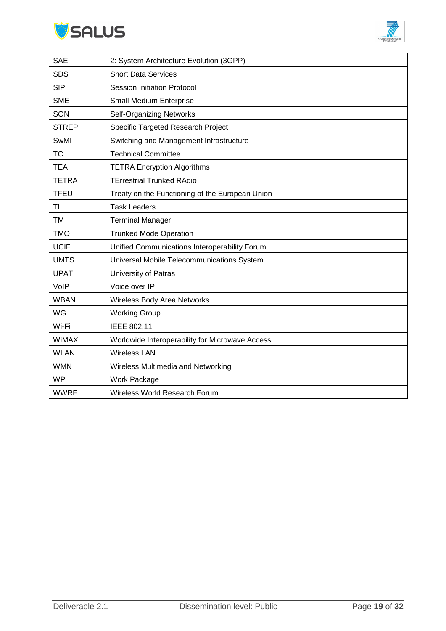



| <b>SAE</b>   | 2: System Architecture Evolution (3GPP)         |
|--------------|-------------------------------------------------|
| <b>SDS</b>   | <b>Short Data Services</b>                      |
| <b>SIP</b>   | <b>Session Initiation Protocol</b>              |
| <b>SME</b>   | Small Medium Enterprise                         |
| SON          | <b>Self-Organizing Networks</b>                 |
| <b>STREP</b> | Specific Targeted Research Project              |
| SwMI         | Switching and Management Infrastructure         |
| <b>TC</b>    | <b>Technical Committee</b>                      |
| <b>TEA</b>   | <b>TETRA Encryption Algorithms</b>              |
| <b>TETRA</b> | <b>TErrestrial Trunked RAdio</b>                |
| <b>TFEU</b>  | Treaty on the Functioning of the European Union |
| <b>TL</b>    | <b>Task Leaders</b>                             |
| <b>TM</b>    | <b>Terminal Manager</b>                         |
| <b>TMO</b>   | <b>Trunked Mode Operation</b>                   |
| <b>UCIF</b>  | Unified Communications Interoperability Forum   |
| <b>UMTS</b>  | Universal Mobile Telecommunications System      |
| <b>UPAT</b>  | University of Patras                            |
| VolP         | Voice over IP                                   |
| <b>WBAN</b>  | Wireless Body Area Networks                     |
| WG           | <b>Working Group</b>                            |
| Wi-Fi        | IEEE 802.11                                     |
| WiMAX        | Worldwide Interoperability for Microwave Access |
| <b>WLAN</b>  | <b>Wireless LAN</b>                             |
| <b>WMN</b>   | Wireless Multimedia and Networking              |
| <b>WP</b>    | Work Package                                    |
| <b>WWRF</b>  | Wireless World Research Forum                   |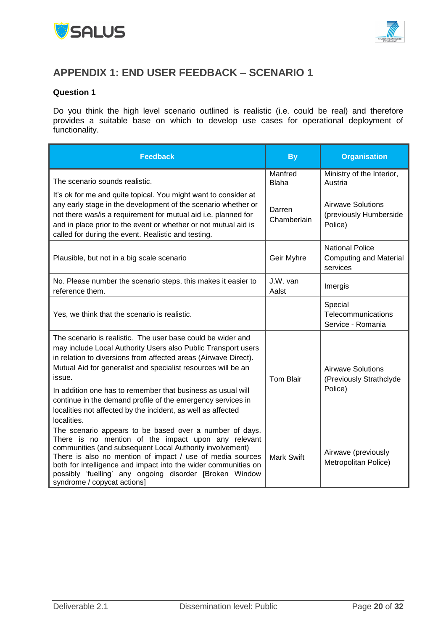



# <span id="page-19-0"></span>**APPENDIX 1: END USER FEEDBACK – SCENARIO 1**

#### **Question 1**

Do you think the high level scenario outlined is realistic (i.e. could be real) and therefore provides a suitable base on which to develop use cases for operational deployment of functionality.

| <b>Feedback</b>                                                                                                                                                                                                                                                                                                                                                                                                                                                                         | <b>By</b>               | <b>Organisation</b>                                                 |
|-----------------------------------------------------------------------------------------------------------------------------------------------------------------------------------------------------------------------------------------------------------------------------------------------------------------------------------------------------------------------------------------------------------------------------------------------------------------------------------------|-------------------------|---------------------------------------------------------------------|
| The scenario sounds realistic.                                                                                                                                                                                                                                                                                                                                                                                                                                                          | Manfred<br><b>Blaha</b> | Ministry of the Interior,<br>Austria                                |
| It's ok for me and quite topical. You might want to consider at<br>any early stage in the development of the scenario whether or<br>not there was/is a requirement for mutual aid i.e. planned for<br>and in place prior to the event or whether or not mutual aid is<br>called for during the event. Realistic and testing.                                                                                                                                                            | Darren<br>Chamberlain   | <b>Airwave Solutions</b><br>(previously Humberside<br>Police)       |
| Plausible, but not in a big scale scenario                                                                                                                                                                                                                                                                                                                                                                                                                                              | Geir Myhre              | <b>National Police</b><br><b>Computing and Material</b><br>services |
| No. Please number the scenario steps, this makes it easier to<br>reference them.                                                                                                                                                                                                                                                                                                                                                                                                        | J.W. van<br>Aalst       | Imergis                                                             |
| Yes, we think that the scenario is realistic.                                                                                                                                                                                                                                                                                                                                                                                                                                           |                         | Special<br>Telecommunications<br>Service - Romania                  |
| The scenario is realistic. The user base could be wider and<br>may include Local Authority Users also Public Transport users<br>in relation to diversions from affected areas (Airwave Direct).<br>Mutual Aid for generalist and specialist resources will be an<br>issue.<br>In addition one has to remember that business as usual will<br>continue in the demand profile of the emergency services in<br>localities not affected by the incident, as well as affected<br>localities. | <b>Tom Blair</b>        | <b>Airwave Solutions</b><br>(Previously Strathclyde<br>Police)      |
| The scenario appears to be based over a number of days.<br>There is no mention of the impact upon any relevant<br>communities (and subsequent Local Authority involvement)<br>There is also no mention of impact / use of media sources<br>both for intelligence and impact into the wider communities on<br>possibly 'fuelling' any ongoing disorder [Broken Window<br>syndrome / copycat actions]                                                                                     | <b>Mark Swift</b>       | Airwave (previously<br>Metropolitan Police)                         |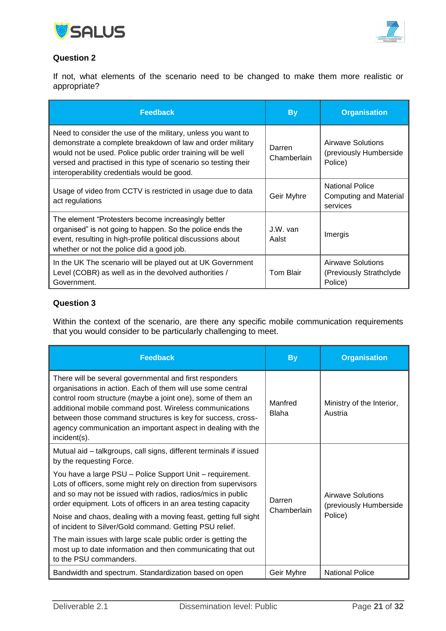



If not, what elements of the scenario need to be changed to make them more realistic or appropriate?

| <b>Feedback</b>                                                                                                                                                                                                                                                                                             | <b>By</b>             | <b>Organisation</b>                                                 |
|-------------------------------------------------------------------------------------------------------------------------------------------------------------------------------------------------------------------------------------------------------------------------------------------------------------|-----------------------|---------------------------------------------------------------------|
| Need to consider the use of the military, unless you want to<br>demonstrate a complete breakdown of law and order military<br>would not be used. Police public order training will be well<br>versed and practised in this type of scenario so testing their<br>interoperability credentials would be good. | Darren<br>Chamberlain | Airwave Solutions<br>(previously Humberside<br>Police)              |
| Usage of video from CCTV is restricted in usage due to data<br>act regulations                                                                                                                                                                                                                              | Geir Myhre            | <b>National Police</b><br><b>Computing and Material</b><br>services |
| The element "Protesters become increasingly better<br>organised" is not going to happen. So the police ends the<br>event, resulting in high-profile political discussions about<br>whether or not the police did a good job.                                                                                | J.W. van<br>Aalst     | Imergis                                                             |
| In the UK The scenario will be played out at UK Government<br>Level (COBR) as well as in the devolved authorities /<br>Government.                                                                                                                                                                          | Tom Blair             | Airwave Solutions<br>(Previously Strathclyde)<br>Police)            |

### **Question 3**

Within the context of the scenario, are there any specific mobile communication requirements that you would consider to be particularly challenging to meet.

| <b>Feedback</b>                                                                                                                                                                                                                                                                                                                                                                                 | <b>By</b>               | <b>Organisation</b>                                    |
|-------------------------------------------------------------------------------------------------------------------------------------------------------------------------------------------------------------------------------------------------------------------------------------------------------------------------------------------------------------------------------------------------|-------------------------|--------------------------------------------------------|
| There will be several governmental and first responders<br>organisations in action. Each of them will use some central<br>control room structure (maybe a joint one), some of them an<br>additional mobile command post. Wireless communications<br>between those command structures is key for success, cross-<br>agency communication an important aspect in dealing with the<br>incident(s). | Manfred<br><b>Blaha</b> | Ministry of the Interior,<br>Austria                   |
| Mutual aid - talkgroups, call signs, different terminals if issued<br>by the requesting Force.                                                                                                                                                                                                                                                                                                  |                         |                                                        |
| You have a large PSU - Police Support Unit - requirement.<br>Lots of officers, some might rely on direction from supervisors<br>and so may not be issued with radios, radios/mics in public<br>order equipment. Lots of officers in an area testing capacity                                                                                                                                    | Darren<br>Chamberlain   | Airwave Solutions<br>(previously Humberside<br>Police) |
| Noise and chaos, dealing with a moving feast, getting full sight<br>of incident to Silver/Gold command. Getting PSU relief.                                                                                                                                                                                                                                                                     |                         |                                                        |
| The main issues with large scale public order is getting the<br>most up to date information and then communicating that out<br>to the PSU commanders.                                                                                                                                                                                                                                           |                         |                                                        |
| Bandwidth and spectrum. Standardization based on open                                                                                                                                                                                                                                                                                                                                           | Geir Myhre              | <b>National Police</b>                                 |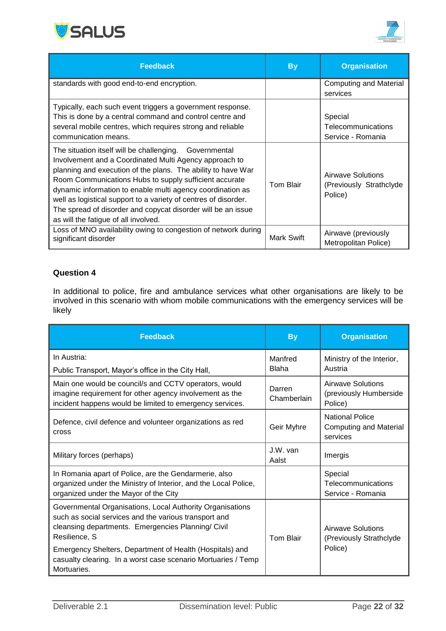



| <b>Feedback</b>                                                                                                                                                                                                                                                                                                                                                                                                                                                                     | <b>By</b>         | <b>Organisation</b>                                      |
|-------------------------------------------------------------------------------------------------------------------------------------------------------------------------------------------------------------------------------------------------------------------------------------------------------------------------------------------------------------------------------------------------------------------------------------------------------------------------------------|-------------------|----------------------------------------------------------|
| standards with good end-to-end encryption.                                                                                                                                                                                                                                                                                                                                                                                                                                          |                   | <b>Computing and Material</b><br>services                |
| Typically, each such event triggers a government response.<br>This is done by a central command and control centre and<br>several mobile centres, which requires strong and reliable<br>communication means.                                                                                                                                                                                                                                                                        |                   | Special<br>Telecommunications<br>Service - Romania       |
| The situation itself will be challenging. Governmental<br>Involvement and a Coordinated Multi Agency approach to<br>planning and execution of the plans. The ability to have War<br>Room Communications Hubs to supply sufficient accurate<br>dynamic information to enable multi agency coordination as<br>well as logistical support to a variety of centres of disorder.<br>The spread of disorder and copycat disorder will be an issue<br>as will the fatigue of all involved. | Tom Blair         | Airwave Solutions<br>(Previously Strathclyde)<br>Police) |
| Loss of MNO availability owing to congestion of network during<br>significant disorder                                                                                                                                                                                                                                                                                                                                                                                              | <b>Mark Swift</b> | Airwave (previously<br>Metropolitan Police)              |

In additional to police, fire and ambulance services what other organisations are likely to be involved in this scenario with whom mobile communications with the emergency services will be likely

| <b>Feedback</b>                                                                                                                                                                           | <b>By</b>               | <b>Organisation</b>                                                 |
|-------------------------------------------------------------------------------------------------------------------------------------------------------------------------------------------|-------------------------|---------------------------------------------------------------------|
| In Austria:<br>Public Transport, Mayor's office in the City Hall,                                                                                                                         | Manfred<br><b>Blaha</b> | Ministry of the Interior,<br>Austria                                |
| Main one would be council/s and CCTV operators, would<br>imagine requirement for other agency involvement as the<br>incident happens would be limited to emergency services.              | Darren<br>Chamberlain   | Airwave Solutions<br>(previously Humberside<br>Police)              |
| Defence, civil defence and volunteer organizations as red<br>cross                                                                                                                        | Geir Myhre              | <b>National Police</b><br><b>Computing and Material</b><br>services |
| Military forces (perhaps)                                                                                                                                                                 | J.W. van<br>Aalst       | Imergis                                                             |
| In Romania apart of Police, are the Gendarmerie, also<br>organized under the Ministry of Interior, and the Local Police,<br>organized under the Mayor of the City                         |                         | Special<br>Telecommunications<br>Service - Romania                  |
| Governmental Organisations, Local Authority Organisations<br>such as social services and the various transport and<br>cleansing departments. Emergencies Planning/ Civil<br>Resilience, S | <b>Tom Blair</b>        | Airwave Solutions<br>(Previously Strathclyde                        |
| Emergency Shelters, Department of Health (Hospitals) and<br>casualty clearing. In a worst case scenario Mortuaries / Temp<br>Mortuaries.                                                  |                         | Police)                                                             |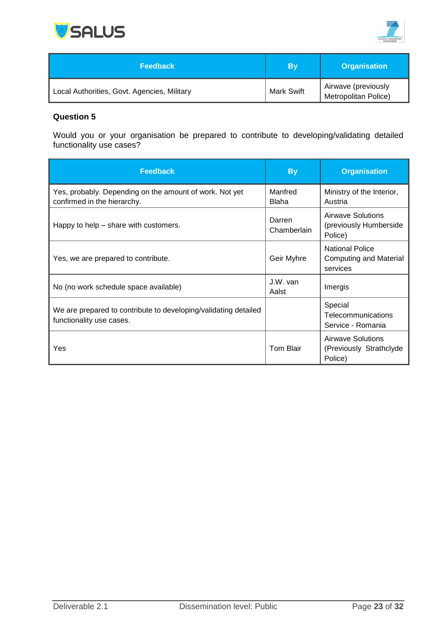



| <b>Feedback</b>                             | By                | <b>Organisation</b>                                |
|---------------------------------------------|-------------------|----------------------------------------------------|
| Local Authorities, Govt. Agencies, Military | <b>Mark Swift</b> | Airwave (previously<br><b>Metropolitan Police)</b> |

Would you or your organisation be prepared to contribute to developing/validating detailed functionality use cases?

| <b>Feedback</b>                                                                             | <b>By</b>               | <b>Organisation</b>                                                 |
|---------------------------------------------------------------------------------------------|-------------------------|---------------------------------------------------------------------|
| Yes, probably. Depending on the amount of work. Not yet<br>confirmed in the hierarchy.      | Manfred<br><b>Blaha</b> | Ministry of the Interior,<br>Austria                                |
| Happy to help - share with customers.                                                       | Darren<br>Chamberlain   | Airwave Solutions<br>(previously Humberside<br>Police)              |
| Yes, we are prepared to contribute.                                                         | Geir Myhre              | <b>National Police</b><br><b>Computing and Material</b><br>services |
| No (no work schedule space available)                                                       | J.W. van<br>Aalst       | Imergis                                                             |
| We are prepared to contribute to developing/validating detailed<br>functionality use cases. |                         | Special<br>Telecommunications<br>Service - Romania                  |
| Yes                                                                                         | Tom Blair               | Airwave Solutions<br>(Previously Strathclyde<br>Police)             |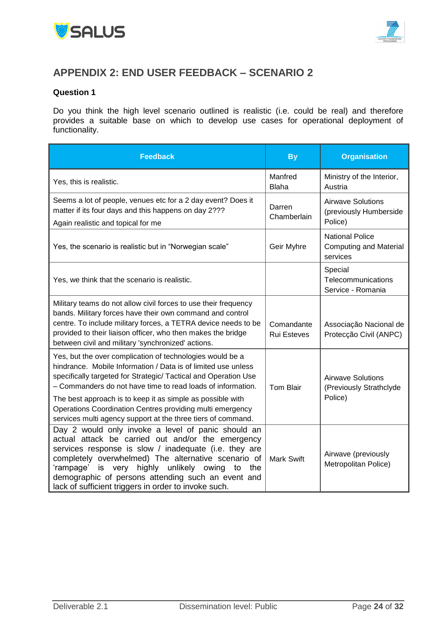



# <span id="page-23-0"></span>**APPENDIX 2: END USER FEEDBACK – SCENARIO 2**

#### **Question 1**

Do you think the high level scenario outlined is realistic (i.e. could be real) and therefore provides a suitable base on which to develop use cases for operational deployment of functionality.

| <b>Feedback</b>                                                                                                                                                                                                                                                                                                                                                                                                                                         | <b>By</b>                        | <b>Organisation</b>                                                 |
|---------------------------------------------------------------------------------------------------------------------------------------------------------------------------------------------------------------------------------------------------------------------------------------------------------------------------------------------------------------------------------------------------------------------------------------------------------|----------------------------------|---------------------------------------------------------------------|
| Yes, this is realistic.                                                                                                                                                                                                                                                                                                                                                                                                                                 | Manfred<br><b>Blaha</b>          | Ministry of the Interior,<br>Austria                                |
| Seems a lot of people, venues etc for a 2 day event? Does it<br>matter if its four days and this happens on day 2???<br>Again realistic and topical for me                                                                                                                                                                                                                                                                                              | Darren<br>Chamberlain            | <b>Airwave Solutions</b><br>(previously Humberside<br>Police)       |
| Yes, the scenario is realistic but in "Norwegian scale"                                                                                                                                                                                                                                                                                                                                                                                                 | Geir Myhre                       | <b>National Police</b><br><b>Computing and Material</b><br>services |
| Yes, we think that the scenario is realistic.                                                                                                                                                                                                                                                                                                                                                                                                           |                                  | Special<br>Telecommunications<br>Service - Romania                  |
| Military teams do not allow civil forces to use their frequency<br>bands. Military forces have their own command and control<br>centre. To include military forces, a TETRA device needs to be<br>provided to their liaison officer, who then makes the bridge<br>between civil and military 'synchronized' actions.                                                                                                                                    | Comandante<br><b>Rui Esteves</b> | Associação Nacional de<br>Protecção Civil (ANPC)                    |
| Yes, but the over complication of technologies would be a<br>hindrance. Mobile Information / Data is of limited use unless<br>specifically targeted for Strategic/ Tactical and Operation Use<br>- Commanders do not have time to read loads of information.<br>The best approach is to keep it as simple as possible with<br>Operations Coordination Centres providing multi emergency<br>services multi agency support at the three tiers of command. | Tom Blair                        | <b>Airwave Solutions</b><br>(Previously Strathclyde<br>Police)      |
| Day 2 would only invoke a level of panic should an<br>actual attack be carried out and/or the emergency<br>services response is slow / inadequate (i.e. they are<br>completely overwhelmed) The alternative scenario of<br>highly unlikely owing<br>'rampage' is very<br>to<br>the<br>demographic of persons attending such an event and<br>lack of sufficient triggers in order to invoke such.                                                        | <b>Mark Swift</b>                | Airwave (previously<br>Metropolitan Police)                         |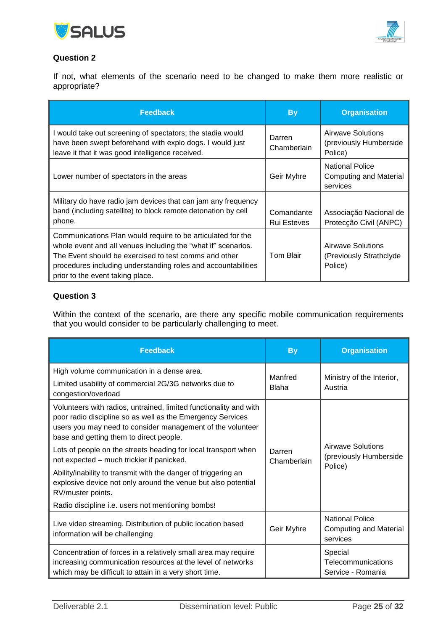



If not, what elements of the scenario need to be changed to make them more realistic or appropriate?

| <b>Feedback</b>                                                                                                                                                                                                                                                                            | <b>By</b>                        | <b>Organisation</b>                                             |
|--------------------------------------------------------------------------------------------------------------------------------------------------------------------------------------------------------------------------------------------------------------------------------------------|----------------------------------|-----------------------------------------------------------------|
| I would take out screening of spectators; the stadia would<br>have been swept beforehand with explo dogs. I would just<br>leave it that it was good intelligence received.                                                                                                                 | Darren<br>Chamberlain            | Airwave Solutions<br>(previously Humberside<br>Police)          |
| Lower number of spectators in the areas                                                                                                                                                                                                                                                    | Geir Myhre                       | <b>National Police</b><br>Computing and Material<br>services    |
| Military do have radio jam devices that can jam any frequency<br>band (including satellite) to block remote detonation by cell<br>phone.                                                                                                                                                   | Comandante<br><b>Rui Esteves</b> | Associação Nacional de<br>Protecção Civil (ANPC)                |
| Communications Plan would require to be articulated for the<br>whole event and all venues including the "what if" scenarios.<br>The Event should be exercised to test comms and other<br>procedures including understanding roles and accountabilities<br>prior to the event taking place. | Tom Blair                        | <b>Airwave Solutions</b><br>(Previously Strathclyde)<br>Police) |

### **Question 3**

Within the context of the scenario, are there any specific mobile communication requirements that you would consider to be particularly challenging to meet.

| <b>Feedback</b>                                                                                                                                                                                                                          | <b>By</b>               | <b>Organisation</b>                                                 |
|------------------------------------------------------------------------------------------------------------------------------------------------------------------------------------------------------------------------------------------|-------------------------|---------------------------------------------------------------------|
| High volume communication in a dense area.<br>Limited usability of commercial 2G/3G networks due to<br>congestion/overload                                                                                                               | Manfred<br><b>Blaha</b> | Ministry of the Interior,<br>Austria                                |
| Volunteers with radios, untrained, limited functionality and with<br>poor radio discipline so as well as the Emergency Services<br>users you may need to consider management of the volunteer<br>base and getting them to direct people. |                         |                                                                     |
| Lots of people on the streets heading for local transport when<br>not expected – much trickier if panicked.                                                                                                                              | Darren<br>Chamberlain   | <b>Airwave Solutions</b><br>(previously Humberside                  |
| Ability/inability to transmit with the danger of triggering an<br>explosive device not only around the venue but also potential<br>RV/muster points.                                                                                     |                         | Police)                                                             |
| Radio discipline i.e. users not mentioning bombs!                                                                                                                                                                                        |                         |                                                                     |
| Live video streaming. Distribution of public location based<br>information will be challenging                                                                                                                                           | Geir Myhre              | <b>National Police</b><br><b>Computing and Material</b><br>services |
| Concentration of forces in a relatively small area may require<br>increasing communication resources at the level of networks<br>which may be difficult to attain in a very short time.                                                  |                         | Special<br>Telecommunications<br>Service - Romania                  |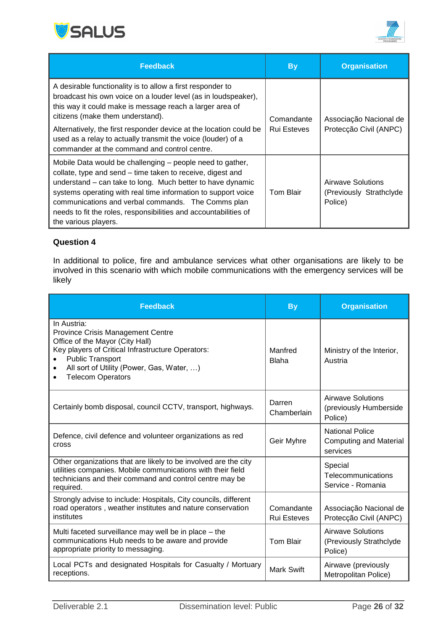



| <b>Feedback</b>                                                                                                                                                                                                                                                                                                                                                                                          | <b>By</b>          | <b>Organisation</b>                                      |
|----------------------------------------------------------------------------------------------------------------------------------------------------------------------------------------------------------------------------------------------------------------------------------------------------------------------------------------------------------------------------------------------------------|--------------------|----------------------------------------------------------|
| A desirable functionality is to allow a first responder to<br>broadcast his own voice on a louder level (as in loudspeaker),<br>this way it could make is message reach a larger area of<br>citizens (make them understand).                                                                                                                                                                             | Comandante         | Associação Nacional de                                   |
| Alternatively, the first responder device at the location could be<br>used as a relay to actually transmit the voice (louder) of a<br>commander at the command and control centre.                                                                                                                                                                                                                       | <b>Rui Esteves</b> | Protecção Civil (ANPC)                                   |
| Mobile Data would be challenging - people need to gather,<br>collate, type and send – time taken to receive, digest and<br>understand – can take to long. Much better to have dynamic<br>systems operating with real time information to support voice<br>communications and verbal commands. The Comms plan<br>needs to fit the roles, responsibilities and accountabilities of<br>the various players. | Tom Blair          | Airwave Solutions<br>(Previously Strathclyde)<br>Police) |

In additional to police, fire and ambulance services what other organisations are likely to be involved in this scenario with which mobile communications with the emergency services will be likely

| <b>Feedback</b>                                                                                                                                                                                                                                                  | <b>By</b>                        | <b>Organisation</b>                                                 |  |
|------------------------------------------------------------------------------------------------------------------------------------------------------------------------------------------------------------------------------------------------------------------|----------------------------------|---------------------------------------------------------------------|--|
| In Austria:<br><b>Province Crisis Management Centre</b><br>Office of the Mayor (City Hall)<br>Key players of Critical Infrastructure Operators:<br><b>Public Transport</b><br>All sort of Utility (Power, Gas, Water, )<br>$\bullet$<br><b>Telecom Operators</b> | Manfred<br><b>Blaha</b>          | Ministry of the Interior,<br>Austria                                |  |
| Certainly bomb disposal, council CCTV, transport, highways.                                                                                                                                                                                                      | Darren<br>Chamberlain            | Airwave Solutions<br>(previously Humberside<br>Police)              |  |
| Defence, civil defence and volunteer organizations as red<br>cross                                                                                                                                                                                               | Geir Myhre                       | <b>National Police</b><br><b>Computing and Material</b><br>services |  |
| Other organizations that are likely to be involved are the city<br>utilities companies. Mobile communications with their field<br>technicians and their command and control centre may be<br>required.                                                           |                                  | Special<br>Telecommunications<br>Service - Romania                  |  |
| Strongly advise to include: Hospitals, City councils, different<br>road operators, weather institutes and nature conservation<br>institutes                                                                                                                      | Comandante<br><b>Rui Esteves</b> | Associação Nacional de<br>Protecção Civil (ANPC)                    |  |
| Multi faceted surveillance may well be in place - the<br>communications Hub needs to be aware and provide<br>appropriate priority to messaging.                                                                                                                  | <b>Tom Blair</b>                 | <b>Airwave Solutions</b><br>(Previously Strathclyde<br>Police)      |  |
| Local PCTs and designated Hospitals for Casualty / Mortuary<br>receptions.                                                                                                                                                                                       | <b>Mark Swift</b>                | Airwave (previously<br>Metropolitan Police)                         |  |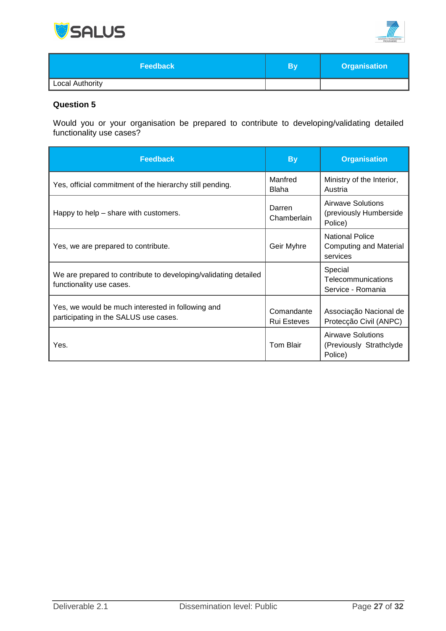



| Feedback               | B١ | <b>Organisation</b> |
|------------------------|----|---------------------|
| <b>Local Authority</b> |    |                     |

Would you or your organisation be prepared to contribute to developing/validating detailed functionality use cases?

| <b>Feedback</b>                                                                             | <b>By</b>                        | <b>Organisation</b>                                                 |
|---------------------------------------------------------------------------------------------|----------------------------------|---------------------------------------------------------------------|
| Yes, official commitment of the hierarchy still pending.                                    | Manfred<br><b>Blaha</b>          | Ministry of the Interior,<br>Austria                                |
| Happy to help – share with customers.                                                       | Darren<br>Chamberlain            | Airwave Solutions<br>(previously Humberside<br>Police)              |
| Yes, we are prepared to contribute.                                                         | Geir Myhre                       | <b>National Police</b><br><b>Computing and Material</b><br>services |
| We are prepared to contribute to developing/validating detailed<br>functionality use cases. |                                  | Special<br><b>Telecommunications</b><br>Service - Romania           |
| Yes, we would be much interested in following and<br>participating in the SALUS use cases.  | Comandante<br><b>Rui Esteves</b> | Associação Nacional de<br>Protecção Civil (ANPC)                    |
| Yes.                                                                                        | Tom Blair                        | Airwave Solutions<br>(Previously Strathclyde)<br>Police)            |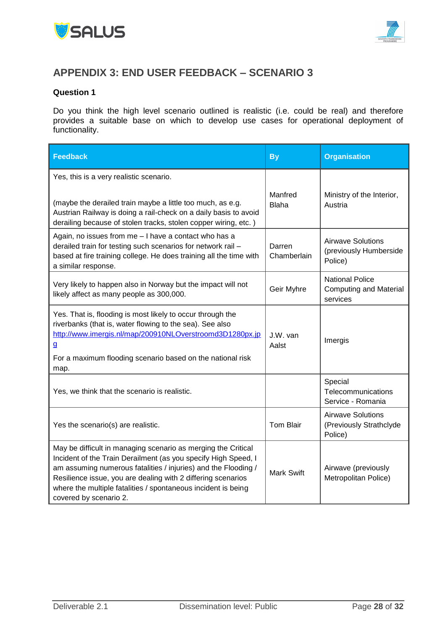



# <span id="page-27-0"></span>**APPENDIX 3: END USER FEEDBACK – SCENARIO 3**

#### **Question 1**

Do you think the high level scenario outlined is realistic (i.e. could be real) and therefore provides a suitable base on which to develop use cases for operational deployment of functionality.

| <b>Feedback</b>                                                                                                                                                                                                                                                                                                                                              | <b>By</b><br><b>Organisation</b> |                                                                     |  |
|--------------------------------------------------------------------------------------------------------------------------------------------------------------------------------------------------------------------------------------------------------------------------------------------------------------------------------------------------------------|----------------------------------|---------------------------------------------------------------------|--|
| Yes, this is a very realistic scenario.<br>(maybe the derailed train maybe a little too much, as e.g.<br>Austrian Railway is doing a rail-check on a daily basis to avoid                                                                                                                                                                                    | Manfred<br><b>Blaha</b>          | Ministry of the Interior,<br>Austria                                |  |
| derailing because of stolen tracks, stolen copper wiring, etc.)<br>Again, no issues from me - I have a contact who has a<br>derailed train for testing such scenarios for network rail -<br>based at fire training college. He does training all the time with<br>a similar response.                                                                        | Darren<br>Chamberlain            | <b>Airwave Solutions</b><br>(previously Humberside<br>Police)       |  |
| Very likely to happen also in Norway but the impact will not<br>likely affect as many people as 300,000.                                                                                                                                                                                                                                                     | Geir Myhre                       | <b>National Police</b><br><b>Computing and Material</b><br>services |  |
| Yes. That is, flooding is most likely to occur through the<br>riverbanks (that is, water flowing to the sea). See also<br>http://www.imergis.nl/map/200910NLOverstroomd3D1280px.jp<br>$\mathbf{g}$<br>For a maximum flooding scenario based on the national risk<br>map.                                                                                     | J.W. van<br>Aalst                | Imergis                                                             |  |
| Yes, we think that the scenario is realistic.                                                                                                                                                                                                                                                                                                                |                                  | Special<br>Telecommunications<br>Service - Romania                  |  |
| Yes the scenario(s) are realistic.                                                                                                                                                                                                                                                                                                                           | Tom Blair                        | <b>Airwave Solutions</b><br>(Previously Strathclyde<br>Police)      |  |
| May be difficult in managing scenario as merging the Critical<br>Incident of the Train Derailment (as you specify High Speed, I<br>am assuming numerous fatalities / injuries) and the Flooding /<br>Resilience issue, you are dealing with 2 differing scenarios<br>where the multiple fatalities / spontaneous incident is being<br>covered by scenario 2. | <b>Mark Swift</b>                | Airwave (previously<br>Metropolitan Police)                         |  |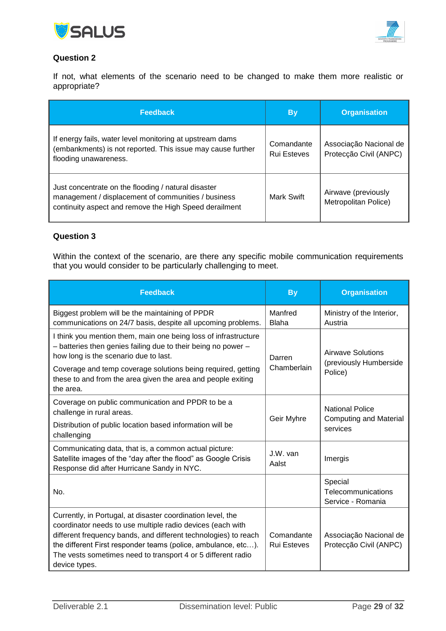



If not, what elements of the scenario need to be changed to make them more realistic or appropriate?

| <b>Feedback</b>                                                                                                                                                      | <b>Organisation</b><br><b>By</b> |                                                  |
|----------------------------------------------------------------------------------------------------------------------------------------------------------------------|----------------------------------|--------------------------------------------------|
| If energy fails, water level monitoring at upstream dams<br>(embankments) is not reported. This issue may cause further<br>flooding unawareness.                     | Comandante<br><b>Rui Esteves</b> | Associação Nacional de<br>Protecção Civil (ANPC) |
| Just concentrate on the flooding / natural disaster<br>management / displacement of communities / business<br>continuity aspect and remove the High Speed derailment | <b>Mark Swift</b>                | Airwave (previously<br>Metropolitan Police)      |

### **Question 3**

Within the context of the scenario, are there any specific mobile communication requirements that you would consider to be particularly challenging to meet.

| <b>Feedback</b>                                                                                                                                                                                                                                                                                                                                | <b>By</b>                        | <b>Organisation</b>                                |                        |
|------------------------------------------------------------------------------------------------------------------------------------------------------------------------------------------------------------------------------------------------------------------------------------------------------------------------------------------------|----------------------------------|----------------------------------------------------|------------------------|
| Biggest problem will be the maintaining of PPDR<br>communications on 24/7 basis, despite all upcoming problems.                                                                                                                                                                                                                                | Manfred<br>Blaha                 | Ministry of the Interior,<br>Austria               |                        |
| I think you mention them, main one being loss of infrastructure<br>- batteries then genies failing due to their being no power -<br>how long is the scenario due to last.                                                                                                                                                                      | Darren<br>Chamberlain            | Airwave Solutions                                  | (previously Humberside |
| Coverage and temp coverage solutions being required, getting<br>these to and from the area given the area and people exiting<br>the area.                                                                                                                                                                                                      |                                  | Police)                                            |                        |
| Coverage on public communication and PPDR to be a<br>challenge in rural areas.                                                                                                                                                                                                                                                                 | Geir Myhre                       | <b>National Police</b>                             |                        |
| Distribution of public location based information will be<br>challenging                                                                                                                                                                                                                                                                       |                                  | <b>Computing and Material</b><br>services          |                        |
| Communicating data, that is, a common actual picture:<br>Satellite images of the "day after the flood" as Google Crisis<br>Response did after Hurricane Sandy in NYC.                                                                                                                                                                          | $J.W.$ van<br>Aalst              | Imergis                                            |                        |
| No.                                                                                                                                                                                                                                                                                                                                            |                                  | Special<br>Telecommunications<br>Service - Romania |                        |
| Currently, in Portugal, at disaster coordination level, the<br>coordinator needs to use multiple radio devices (each with<br>different frequency bands, and different technologies) to reach<br>the different First responder teams (police, ambulance, etc).<br>The vests sometimes need to transport 4 or 5 different radio<br>device types. | Comandante<br><b>Rui Esteves</b> | Associação Nacional de<br>Protecção Civil (ANPC)   |                        |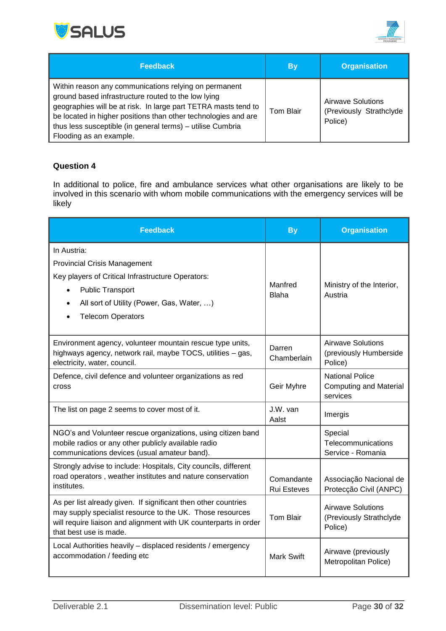



| <b>Feedback</b>                                                                                                                                                                                                                                                                                                                           | <b>By</b> | <b>Organisation</b>                                     |
|-------------------------------------------------------------------------------------------------------------------------------------------------------------------------------------------------------------------------------------------------------------------------------------------------------------------------------------------|-----------|---------------------------------------------------------|
| Within reason any communications relying on permanent<br>ground based infrastructure routed to the low lying<br>geographies will be at risk. In large part TETRA masts tend to<br>be located in higher positions than other technologies and are<br>thus less susceptible (in general terms) - utilise Cumbria<br>Flooding as an example. | Tom Blair | Airwave Solutions<br>(Previously Strathclyde<br>Police) |

In additional to police, fire and ambulance services what other organisations are likely to be involved in this scenario with whom mobile communications with the emergency services will be likely

| <b>Feedback</b>                                                                                                                                                                                                           | <b>Organisation</b><br><b>By</b>                                 |                                                                     |
|---------------------------------------------------------------------------------------------------------------------------------------------------------------------------------------------------------------------------|------------------------------------------------------------------|---------------------------------------------------------------------|
| In Austria:<br><b>Provincial Crisis Management</b><br>Key players of Critical Infrastructure Operators:<br><b>Public Transport</b><br>All sort of Utility (Power, Gas, Water, )<br><b>Telecom Operators</b>               | Manfred<br><b>Blaha</b>                                          | Ministry of the Interior,<br>Austria                                |
| Environment agency, volunteer mountain rescue type units,<br>highways agency, network rail, maybe TOCS, utilities - gas,<br>electricity, water, council.                                                                  | Darren<br>Chamberlain                                            | <b>Airwave Solutions</b><br>(previously Humberside<br>Police)       |
| Defence, civil defence and volunteer organizations as red<br>cross                                                                                                                                                        | Geir Myhre                                                       | <b>National Police</b><br><b>Computing and Material</b><br>services |
| The list on page 2 seems to cover most of it.                                                                                                                                                                             | J.W. van<br>Aalst                                                | Imergis                                                             |
| NGO's and Volunteer rescue organizations, using citizen band<br>mobile radios or any other publicly available radio<br>communications devices (usual amateur band).                                                       |                                                                  | Special<br>Telecommunications<br>Service - Romania                  |
| Strongly advise to include: Hospitals, City councils, different<br>road operators, weather institutes and nature conservation<br>institutes.                                                                              | Comandante<br><b>Rui Esteves</b>                                 | Associação Nacional de<br>Protecção Civil (ANPC)                    |
| As per list already given. If significant then other countries<br>may supply specialist resource to the UK. Those resources<br>will require liaison and alignment with UK counterparts in order<br>that best use is made. | <b>Tom Blair</b>                                                 | <b>Airwave Solutions</b><br>(Previously Strathclyde<br>Police)      |
| Local Authorities heavily - displaced residents / emergency<br>accommodation / feeding etc                                                                                                                                | Airwave (previously<br><b>Mark Swift</b><br>Metropolitan Police) |                                                                     |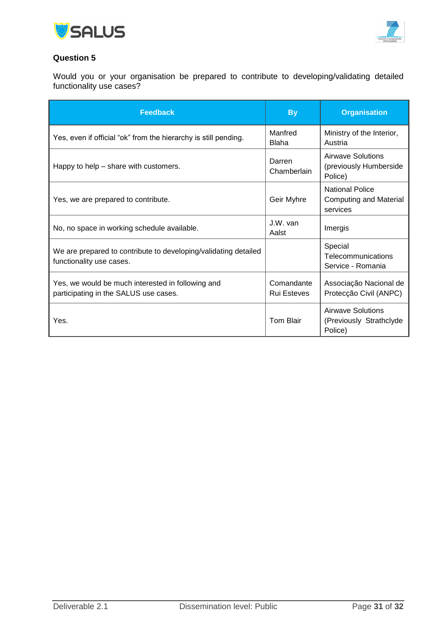



Would you or your organisation be prepared to contribute to developing/validating detailed functionality use cases?

| <b>Feedback</b>                                                                             | <b>By</b>                 | <b>Organisation</b>                                                 |  |
|---------------------------------------------------------------------------------------------|---------------------------|---------------------------------------------------------------------|--|
| Yes, even if official "ok" from the hierarchy is still pending.                             | Manfred<br>Blaha          | Ministry of the Interior,<br>Austria                                |  |
| Happy to help – share with customers.                                                       | Darren<br>Chamberlain     | Airwave Solutions<br>(previously Humberside<br>Police)              |  |
| Yes, we are prepared to contribute.                                                         | Geir Myhre                | <b>National Police</b><br><b>Computing and Material</b><br>services |  |
| No, no space in working schedule available.                                                 | J.W. van<br>Aalst         | Imergis                                                             |  |
| We are prepared to contribute to developing/validating detailed<br>functionality use cases. |                           | Special<br>Telecommunications<br>Service - Romania                  |  |
| Yes, we would be much interested in following and<br>participating in the SALUS use cases.  | Comandante<br>Rui Esteves | Associação Nacional de<br>Protecção Civil (ANPC)                    |  |
| Yes.                                                                                        | Tom Blair                 | Airwave Solutions<br>(Previously Strathclyde)<br>Police)            |  |